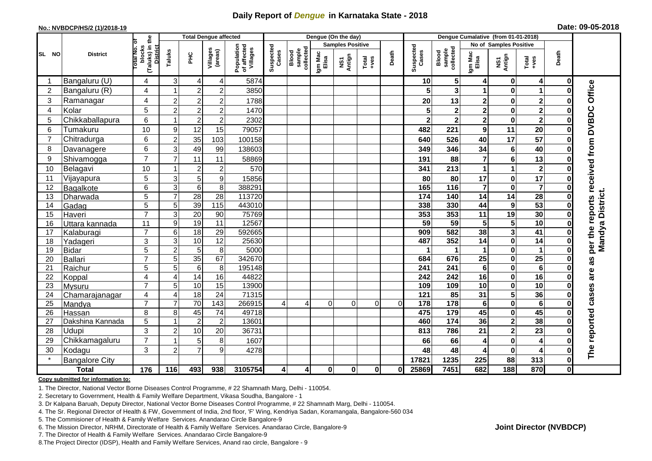## **Daily Report of** *Dengue* **in Karnataka State - 2018**

#### **No.: NVBDCP/HS/2 (1)/2018-19**

|  | Date: 09-05-2018 |  |  |
|--|------------------|--|--|
|--|------------------|--|--|

|                |                            |                                                   |                     | <b>Total Dengue affected</b> |                        |                                       |                    |                              |                  | Dengue (On the day)     |                  |          |                    |                              |                         | Dengue Cumalative (from 01-01-2018)    |                         |              |                                     |
|----------------|----------------------------|---------------------------------------------------|---------------------|------------------------------|------------------------|---------------------------------------|--------------------|------------------------------|------------------|-------------------------|------------------|----------|--------------------|------------------------------|-------------------------|----------------------------------------|-------------------------|--------------|-------------------------------------|
|                |                            | ō                                                 |                     |                              |                        |                                       |                    |                              |                  | <b>Samples Positive</b> |                  |          |                    |                              |                         | No of Samples Positive                 |                         |              |                                     |
| SL NO          | <b>District</b>            | (Taluks) in the<br>District<br>otal No.<br>blocks | Taluks              | $rac{C}{\pi}$                | Villages<br>(areas)    | Population<br>of affected<br>Villages | Suspected<br>Cases | sample<br>collected<br>Blood | Igm Mac<br>Elisa | NS1<br>Antign           | Total<br>$+ve$ s | Death    | Suspected<br>Cases | sample<br>collected<br>Blood | Igm Mac<br>Elisa        | NS1<br>Antign                          | Total<br>+ves           | Death        |                                     |
| -1             | Bangaluru (U)              | 4                                                 | 3                   | 4                            | 4                      | 5874                                  |                    |                              |                  |                         |                  |          | 10                 | 5 <sub>5</sub>               | 4                       | $\mathbf 0$                            | 4                       | $\mathbf 0$  |                                     |
| $\overline{2}$ | Bangaluru (R)              | 4                                                 |                     | $\overline{2}$               | $\overline{2}$         | 3850                                  |                    |                              |                  |                         |                  |          |                    | 3                            |                         | $\mathbf 0$                            | 1                       | 0            |                                     |
| 3              | Ramanagar                  | 4                                                 | $\overline{2}$      | $\overline{\mathbf{c}}$      | $\overline{c}$         | 1788                                  |                    |                              |                  |                         |                  |          | 20                 | 13                           | 2                       | $\pmb{0}$                              | $\overline{\mathbf{2}}$ | 0            | Office                              |
| $\overline{4}$ | Kolar                      | 5                                                 | $\overline{2}$      | $\boldsymbol{2}$             | $\overline{c}$         | 1470                                  |                    |                              |                  |                         |                  |          |                    | $\mathbf 2$                  | $\overline{\mathbf{c}}$ | $\pmb{0}$                              | $\overline{\mathbf{2}}$ | O            |                                     |
| 5              | Chikkaballapura            | 6                                                 |                     | $\overline{2}$               | $\overline{c}$         | 2302                                  |                    |                              |                  |                         |                  |          | $\mathbf{2}$       | $\overline{\mathbf{2}}$      | $\overline{\mathbf{2}}$ | $\mathbf 0$                            | $\overline{\mathbf{2}}$ | O            |                                     |
| 6              | Tumakuru                   | 10                                                | 9                   | 12                           | 15                     | 79057                                 |                    |                              |                  |                         |                  |          | 482                | 221                          | 9                       | 11                                     | 20                      | ŋ            |                                     |
| $\overline{7}$ | Chitradurga                | 6                                                 | $\overline{c}$      | 35                           | 103                    | 100158                                |                    |                              |                  |                         |                  |          | 640                | 526                          | 40                      | $\overline{17}$                        | $\overline{57}$         | 0            |                                     |
| 8              | Davanagere                 | 6                                                 | 3                   | 49                           | 99                     | 138603                                |                    |                              |                  |                         |                  |          | 349                | 346                          | 34                      | $\bf 6$                                | 40                      | 0            |                                     |
| 9              | Shivamogga                 | $\overline{7}$                                    | $\overline{7}$      | 11                           | 11                     | 58869                                 |                    |                              |                  |                         |                  |          | 191                | 88                           | 7                       | $\bf 6$                                | 13                      | O            | per the reports received from DVBDC |
| 10             | Belagavi                   | 10                                                |                     | $\boldsymbol{2}$             | $\overline{c}$         | 570                                   |                    |                              |                  |                         |                  |          | 341                | 213                          | 1                       | $\overline{1}$                         | $\boldsymbol{2}$        |              |                                     |
| 11             | Vijayapura                 | 5                                                 | 3                   | 5                            | 9                      | 15856                                 |                    |                              |                  |                         |                  |          | 80                 | 80                           | 17                      | $\bf{0}$                               | 17                      |              |                                     |
| 12             | Bagalkote                  | 6                                                 | $\overline{3}$      | $\overline{6}$               | 8                      | 388291                                |                    |                              |                  |                         |                  |          | 165                | $\frac{116}{116}$            | $\overline{\mathbf{7}}$ | $\mathbf 0$                            | $\overline{\mathbf{7}}$ | 0            |                                     |
| 13             | Dharwada                   | 5                                                 | $\overline{7}$      | $\overline{28}$              | $\overline{28}$        | 113720                                |                    |                              |                  |                         |                  |          | 174                | 140                          | $\overline{14}$         | $\overline{14}$                        | $\overline{28}$         | 0            | Mandya District.                    |
| 14             | Gadag                      | 5                                                 | 5                   | 39                           | 115                    | 443010                                |                    |                              |                  |                         |                  |          | 338                | 330                          | 44                      | $\boldsymbol{9}$                       | 53                      |              |                                     |
| 15             | Haveri                     | $\overline{7}$                                    | 3                   | 20                           | 90                     | 75769                                 |                    |                              |                  |                         |                  |          | 353                | 353                          | 11                      | 19                                     | 30                      | 0            |                                     |
| 16             | Uttara kannada             | 11                                                | $\boldsymbol{9}$    | 19                           | $\overline{11}$        | 12567                                 |                    |                              |                  |                         |                  |          | 59                 | 59                           | 5                       | 5                                      | 10                      |              |                                     |
| 17             | Kalaburagi                 | $\overline{7}$                                    | $6\phantom{1}6$     | $\overline{18}$              | $\overline{29}$        | 592665                                |                    |                              |                  |                         |                  |          | 909                | 582                          | 38                      | $\overline{\mathbf{3}}$                | $\overline{41}$         | $\bf{0}$     |                                     |
| 18             | Yadageri                   | 3                                                 | 3                   | 10                           | $\overline{12}$        | 25630                                 |                    |                              |                  |                         |                  |          | 487                | 352                          | 14                      | $\mathbf 0$                            | $\overline{14}$         | O            |                                     |
| 19             | <b>Bidar</b>               | 5                                                 | $\overline{2}$      | 5                            | 8                      | 5000                                  |                    |                              |                  |                         |                  |          |                    |                              | 1                       | $\pmb{0}$                              | 1                       | 0            |                                     |
| 20             | <b>Ballari</b>             | $\overline{7}$                                    | 5                   | 35                           | 67                     | 342670                                |                    |                              |                  |                         |                  |          | 684                | 676                          | $\overline{25}$         | $\bf{0}$                               | $\overline{25}$         | U            | as                                  |
| 21             | Raichur                    | 5                                                 | 5                   | $\,6\,$                      | 8                      | 195148                                |                    |                              |                  |                         |                  |          | 241                | 241                          | 6                       | $\pmb{0}$                              | $\overline{6}$          | ŋ            | are                                 |
| 22             | Koppal                     | 4                                                 | $\overline{4}$      | $\overline{14}$              | 16                     | 44822                                 |                    |                              |                  |                         |                  |          | 242                | 242                          | 16                      | $\mathbf 0$                            | 16                      |              |                                     |
| 23             | Mysuru                     | $\overline{7}$                                    | 5                   | 10                           | 15                     | 13900                                 |                    |                              |                  |                         |                  |          | 109                | 109                          | $\overline{10}$         | $\overline{\mathbf{0}}$                | 10                      | $\bf{0}$     |                                     |
| 24             | Chamarajanagar             | 4<br>$\overline{7}$                               | 4<br>$\overline{7}$ | 18<br>70                     | 24                     | 71315                                 |                    |                              | $\Omega$         |                         |                  |          | 121                | 85<br>178                    | 31                      | $\overline{\mathbf{5}}$<br>$\mathbf 0$ | 36<br>$6\phantom{1}6$   | O<br>ŋ       | cases                               |
| 25<br>26       | Mandya                     | 8                                                 | 8                   | 45                           | 143<br>$\overline{74}$ | 266915<br>49718                       | $\overline{4}$     | $\vert$                      |                  | $\Omega$                | $\Omega$         | $\Omega$ | 178<br>475         | 179                          | 6<br>45                 | $\mathbf 0$                            | 45                      |              |                                     |
| 27             | Hassan<br>Dakshina Kannada | 5                                                 |                     | $\overline{2}$               | $\overline{2}$         | 13601                                 |                    |                              |                  |                         |                  |          | 460                | $\overline{174}$             | 36                      | $\overline{\mathbf{2}}$                | 38                      | 0<br>0       |                                     |
| 28             | Udupi                      | 3                                                 | $\overline{2}$      | 10                           | 20                     | 36731                                 |                    |                              |                  |                         |                  |          | 813                | 786                          | 21                      | $\mathbf{2}$                           | 23                      | $\bf{0}$     |                                     |
| 29             |                            | $\overline{7}$                                    |                     | 5                            | 8                      | 1607                                  |                    |                              |                  |                         |                  |          | 66                 | 66                           |                         | $\mathbf 0$                            | 4                       |              |                                     |
| 30             | Chikkamagaluru             | 3                                                 | $\overline{2}$      | $\overline{7}$               | 9                      | 4278                                  |                    |                              |                  |                         |                  |          | 48                 | 48                           | 4                       | $\mathbf 0$                            |                         | O            | The reported                        |
|                | Kodagu                     |                                                   |                     |                              |                        |                                       |                    |                              |                  |                         |                  |          | 17821              | 1235                         | 4<br>225                | 88                                     | 4<br>313                |              |                                     |
|                | <b>Bangalore City</b>      |                                                   |                     |                              |                        |                                       |                    |                              |                  |                         |                  |          |                    |                              |                         |                                        |                         | 0            |                                     |
|                | <b>Total</b>               | $\frac{1}{176}$                                   | 116                 | 493                          | 938                    | 3105754                               | $\overline{4}$     | $\vert$                      | $\mathbf{0}$     | $\mathbf 0$             | $\mathbf{0}$     | 01       | 25869              | 7451                         | 682                     | 188                                    | 870                     | $\mathbf{0}$ |                                     |

#### **Copy submitted for information to:**

1. The Director, National Vector Borne Diseases Control Programme, # 22 Shamnath Marg, Delhi - 110054.

2. Secretary to Government, Health & Family Welfare Department, Vikasa Soudha, Bangalore - 1

3. Dr Kalpana Baruah, Deputy Director, National Vector Borne Diseases Control Programme, # 22 Shamnath Marg, Delhi - 110054.

4. The Sr. Regional Director of Health & FW, Government of India, 2nd floor, 'F' Wing, Kendriya Sadan, Koramangala, Bangalore-560 034

5. The Commisioner of Health & Family Welfare Services. Anandarao Circle Bangalore-9

6. The Mission Director, NRHM, Directorate of Health & Family Welfare Services. Anandarao Circle, Bangalore-9

7. The Director of Health & Family Welfare Services. Anandarao Circle Bangalore-9

8.The Project Director (IDSP), Health and Family Welfare Services, Anand rao circle, Bangalore - 9